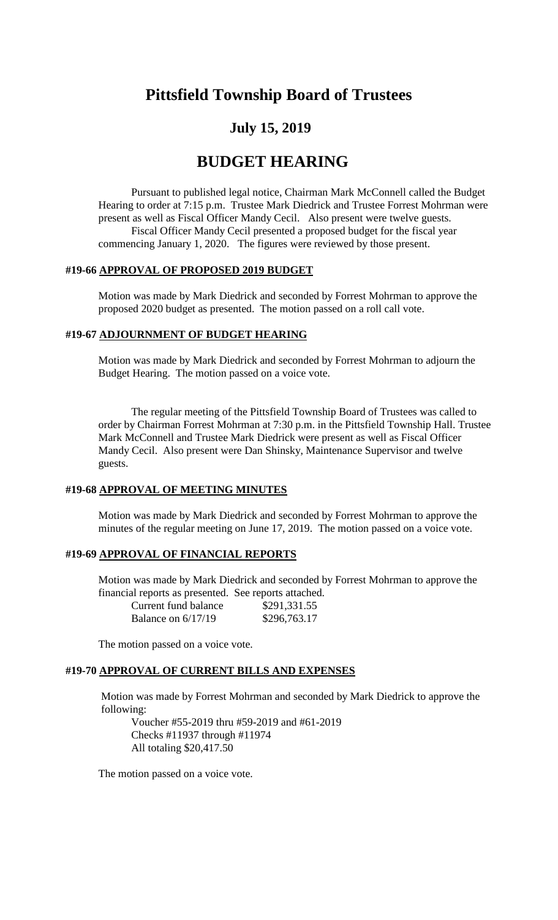# **Pittsfield Township Board of Trustees**

## **July 15, 2019**

## **BUDGET HEARING**

Pursuant to published legal notice, Chairman Mark McConnell called the Budget Hearing to order at 7:15 p.m. Trustee Mark Diedrick and Trustee Forrest Mohrman were present as well as Fiscal Officer Mandy Cecil. Also present were twelve guests. Fiscal Officer Mandy Cecil presented a proposed budget for the fiscal year commencing January 1, 2020. The figures were reviewed by those present.

#### **#19-66 APPROVAL OF PROPOSED 2019 BUDGET**

Motion was made by Mark Diedrick and seconded by Forrest Mohrman to approve the proposed 2020 budget as presented. The motion passed on a roll call vote.

#### **#19-67 ADJOURNMENT OF BUDGET HEARING**

Motion was made by Mark Diedrick and seconded by Forrest Mohrman to adjourn the Budget Hearing. The motion passed on a voice vote.

The regular meeting of the Pittsfield Township Board of Trustees was called to order by Chairman Forrest Mohrman at 7:30 p.m. in the Pittsfield Township Hall. Trustee Mark McConnell and Trustee Mark Diedrick were present as well as Fiscal Officer Mandy Cecil. Also present were Dan Shinsky, Maintenance Supervisor and twelve guests.

#### **#19-68 APPROVAL OF MEETING MINUTES**

Motion was made by Mark Diedrick and seconded by Forrest Mohrman to approve the minutes of the regular meeting on June 17, 2019. The motion passed on a voice vote.

## **#19-69 APPROVAL OF FINANCIAL REPORTS**

Motion was made by Mark Diedrick and seconded by Forrest Mohrman to approve the financial reports as presented. See reports attached.

| Current fund balance | \$291,331.55 |
|----------------------|--------------|
| Balance on $6/17/19$ | \$296,763.17 |

The motion passed on a voice vote.

#### **#19-70 APPROVAL OF CURRENT BILLS AND EXPENSES**

Motion was made by Forrest Mohrman and seconded by Mark Diedrick to approve the following:

Voucher #55-2019 thru #59-2019 and #61-2019 Checks #11937 through #11974 All totaling \$20,417.50

The motion passed on a voice vote.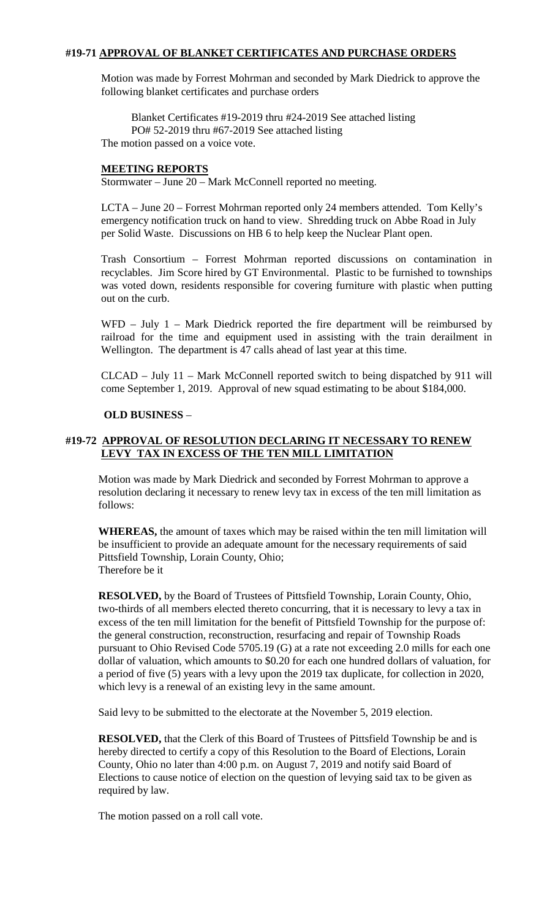## **#19-71 APPROVAL OF BLANKET CERTIFICATES AND PURCHASE ORDERS**

Motion was made by Forrest Mohrman and seconded by Mark Diedrick to approve the following blanket certificates and purchase orders

Blanket Certificates #19-2019 thru #24-2019 See attached listing PO# 52-2019 thru #67-2019 See attached listing The motion passed on a voice vote.

#### **MEETING REPORTS**

Stormwater – June 20 – Mark McConnell reported no meeting.

LCTA – June 20 – Forrest Mohrman reported only 24 members attended. Tom Kelly's emergency notification truck on hand to view. Shredding truck on Abbe Road in July per Solid Waste. Discussions on HB 6 to help keep the Nuclear Plant open.

Trash Consortium – Forrest Mohrman reported discussions on contamination in recyclables. Jim Score hired by GT Environmental. Plastic to be furnished to townships was voted down, residents responsible for covering furniture with plastic when putting out on the curb.

WFD – July 1 – Mark Diedrick reported the fire department will be reimbursed by railroad for the time and equipment used in assisting with the train derailment in Wellington. The department is 47 calls ahead of last year at this time.

CLCAD – July 11 – Mark McConnell reported switch to being dispatched by 911 will come September 1, 2019. Approval of new squad estimating to be about \$184,000.

#### **OLD BUSINESS** –

## **#19-72 APPROVAL OF RESOLUTION DECLARING IT NECESSARY TO RENEW LEVY TAX IN EXCESS OF THE TEN MILL LIMITATION**

Motion was made by Mark Diedrick and seconded by Forrest Mohrman to approve a resolution declaring it necessary to renew levy tax in excess of the ten mill limitation as follows:

**WHEREAS,** the amount of taxes which may be raised within the ten mill limitation will be insufficient to provide an adequate amount for the necessary requirements of said Pittsfield Township, Lorain County, Ohio; Therefore be it

**RESOLVED,** by the Board of Trustees of Pittsfield Township, Lorain County, Ohio, two-thirds of all members elected thereto concurring, that it is necessary to levy a tax in excess of the ten mill limitation for the benefit of Pittsfield Township for the purpose of: the general construction, reconstruction, resurfacing and repair of Township Roads pursuant to Ohio Revised Code 5705.19 (G) at a rate not exceeding 2.0 mills for each one dollar of valuation, which amounts to \$0.20 for each one hundred dollars of valuation, for a period of five (5) years with a levy upon the 2019 tax duplicate, for collection in 2020, which levy is a renewal of an existing levy in the same amount.

Said levy to be submitted to the electorate at the November 5, 2019 election.

**RESOLVED,** that the Clerk of this Board of Trustees of Pittsfield Township be and is hereby directed to certify a copy of this Resolution to the Board of Elections, Lorain County, Ohio no later than 4:00 p.m. on August 7, 2019 and notify said Board of Elections to cause notice of election on the question of levying said tax to be given as required by law.

The motion passed on a roll call vote.